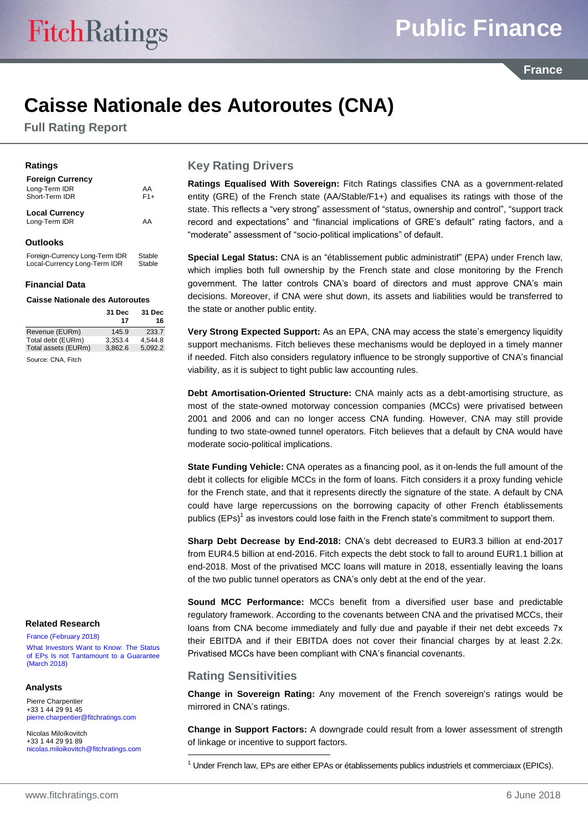**France** 

# **Caisse Nationale des Autoroutes (CNA)**

**Full Rating Report**

#### **Ratings**

| <b>Foreign Currency</b><br>Long-Term IDR<br>Short-Term IDR | AA<br>$F1+$ |
|------------------------------------------------------------|-------------|
| <b>Local Currency</b><br>Long-Term IDR                     | AA          |
| <b>Outlooks</b>                                            |             |

Foreign-Currency Long-Term IDR Stable<br>Local-Currency Long-Term IDR Stable Local-Currency Long-Term IDR

#### **Financial Data**

#### **Caisse Nationale des Autoroutes**

|                     | 31 Dec<br>17 | 31 Dec<br>16 |
|---------------------|--------------|--------------|
| Revenue (EURm)      | 145.9        | 233.7        |
| Total debt (EURm)   | 3.353.4      | 4.544.8      |
| Total assets (EURm) | 3.862.6      | 5,092.2      |
| Source: CNA, Fitch  |              |              |

#### **Related Research**

[France \(February 2018\)](https://www.fitchratings.com/site/re/10018732) [What Investors Want to Know: The Status](https://www.fitchratings.com/site/re/10018459)  [of EPs Is not Tantamount to a Guarantee](https://www.fitchratings.com/site/re/10018459)  [\(March 2018\)](https://www.fitchratings.com/site/re/10018459)

#### **Analysts**

Pierre Charpentier +33 1 44 29 91 45 [pierre.charpentier@fitchratings.com](mailto:pierre.charpentier@fitchratings.com)

Nicolas Miloïkovitch +33 1 44 29 91 89 [nicolas.miloikovitch@fitchratings.com](mailto:nicolas.miloikovitch@fitchratings.com)

#### **Key Rating Drivers**

**Ratings Equalised With Sovereign:** Fitch Ratings classifies CNA as a government-related entity (GRE) of the French state (AA/Stable/F1+) and equalises its ratings with those of the state. This reflects a "very strong" assessment of "status, ownership and control", "support track record and expectations" and "financial implications of GRE's default" rating factors, and a "moderate" assessment of "socio-political implications" of default.

**Special Legal Status:** CNA is an "établissement public administratif" (EPA) under French law, which implies both full ownership by the French state and close monitoring by the French government. The latter controls CNA's board of directors and must approve CNA's main decisions. Moreover, if CNA were shut down, its assets and liabilities would be transferred to the state or another public entity.

**Very Strong Expected Support:** As an EPA, CNA may access the state's emergency liquidity support mechanisms. Fitch believes these mechanisms would be deployed in a timely manner if needed. Fitch also considers regulatory influence to be strongly supportive of CNA's financial viability, as it is subject to tight public law accounting rules.

**Debt Amortisation-Oriented Structure:** CNA mainly acts as a debt-amortising structure, as most of the state-owned motorway concession companies (MCCs) were privatised between 2001 and 2006 and can no longer access CNA funding. However, CNA may still provide funding to two state-owned tunnel operators. Fitch believes that a default by CNA would have moderate socio-political implications.

**State Funding Vehicle:** CNA operates as a financing pool, as it on-lends the full amount of the debt it collects for eligible MCCs in the form of loans. Fitch considers it a proxy funding vehicle for the French state, and that it represents directly the signature of the state. A default by CNA could have large repercussions on the borrowing capacity of other French établissements publics (EPs)<sup>1</sup> as investors could lose faith in the French state's commitment to support them.

**Sharp Debt Decrease by End-2018:** CNA's debt decreased to EUR3.3 billion at end-2017 from EUR4.5 billion at end-2016. Fitch expects the debt stock to fall to around EUR1.1 billion at end-2018. Most of the privatised MCC loans will mature in 2018, essentially leaving the loans of the two public tunnel operators as CNA's only debt at the end of the year.

**Sound MCC Performance:** MCCs benefit from a diversified user base and predictable regulatory framework. According to the covenants between CNA and the privatised MCCs, their loans from CNA become immediately and fully due and payable if their net debt exceeds 7x their EBITDA and if their EBITDA does not cover their financial charges by at least 2.2x. Privatised MCCs have been compliant with CNA's financial covenants.

#### **Rating Sensitivities**

-

**Change in Sovereign Rating:** Any movement of the French sovereign's ratings would be mirrored in CNA's ratings.

**Change in Support Factors:** A downgrade could result from a lower assessment of strength of linkage or incentive to support factors.

 $<sup>1</sup>$  Under French law, EPs are either EPAs or établissements publics industriels et commerciaux (EPICs).</sup>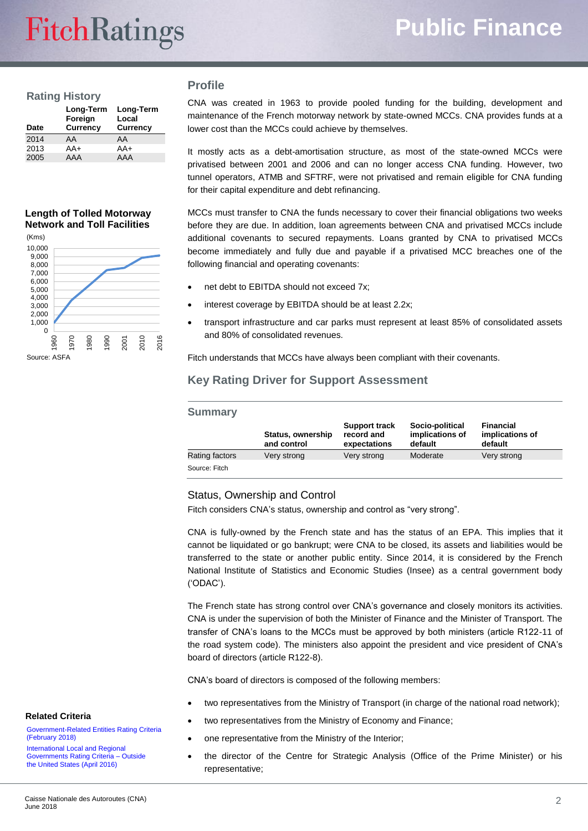#### **Rating History**

| Date | Long-Term<br>Foreign<br><b>Currency</b> | Long-Term<br>Local<br><b>Currency</b> |
|------|-----------------------------------------|---------------------------------------|
| 2014 | AA                                      | AA                                    |
| 2013 | $AA+$                                   | $AA+$                                 |
| 2005 | AAA                                     | AAA                                   |

#### **Profile**

CNA was created in 1963 to provide pooled funding for the building, development and maintenance of the French motorway network by state-owned MCCs. CNA provides funds at a lower cost than the MCCs could achieve by themselves.

It mostly acts as a debt-amortisation structure, as most of the state-owned MCCs were privatised between 2001 and 2006 and can no longer access CNA funding. However, two tunnel operators, ATMB and SFTRF, were not privatised and remain eligible for CNA funding for their capital expenditure and debt refinancing.

**Length of Tolled Motorway Network and Toll Facilities**



MCCs must transfer to CNA the funds necessary to cover their financial obligations two weeks before they are due. In addition, loan agreements between CNA and privatised MCCs include additional covenants to secured repayments. Loans granted by CNA to privatised MCCs become immediately and fully due and payable if a privatised MCC breaches one of the following financial and operating covenants:

- net debt to EBITDA should not exceed 7x;
- interest coverage by EBITDA should be at least 2.2x;
- transport infrastructure and car parks must represent at least 85% of consolidated assets and 80% of consolidated revenues.

Fitch understands that MCCs have always been compliant with their covenants.

### **Key Rating Driver for Support Assessment**

| <b>Summary</b> |                                  |                                                    |                                               |                                         |
|----------------|----------------------------------|----------------------------------------------------|-----------------------------------------------|-----------------------------------------|
|                | Status, ownership<br>and control | <b>Support track</b><br>record and<br>expectations | Socio-political<br>implications of<br>default | Financial<br>implications of<br>default |
| Rating factors | Very strong                      | Very strong                                        | Moderate                                      | Very strong                             |
| Source: Fitch  |                                  |                                                    |                                               |                                         |

#### Status, Ownership and Control

Fitch considers CNA's status, ownership and control as "very strong".

CNA is fully-owned by the French state and has the status of an EPA. This implies that it cannot be liquidated or go bankrupt; were CNA to be closed, its assets and liabilities would be transferred to the state or another public entity. Since 2014, it is considered by the French National Institute of Statistics and Economic Studies (Insee) as a central government body ('ODAC').

The French state has strong control over CNA's governance and closely monitors its activities. CNA is under the supervision of both the Minister of Finance and the Minister of Transport. The transfer of CNA's loans to the MCCs must be approved by both ministers (article R122-11 of the road system code). The ministers also appoint the president and vice president of CNA's board of directors (article R122-8).

CNA's board of directors is composed of the following members:

- two representatives from the Ministry of Transport (in charge of the national road network);
- two representatives from the Ministry of Economy and Finance;
- one representative from the Ministry of the Interior;
- the director of the Centre for Strategic Analysis (Office of the Prime Minister) or his representative;

#### **Related Criteria**

Government-Related [Entities Rating Criteria](https://www.fitchratings.com/site/re/10019302)  [\(February 2018\)](https://www.fitchratings.com/site/re/10019302)

[International Local and Regional](https://www.fitchratings.com/site/re/878660)  [Governments Rating Criteria –](https://www.fitchratings.com/site/re/878660) Outside [the United States \(April 2016\)](https://www.fitchratings.com/site/re/878660)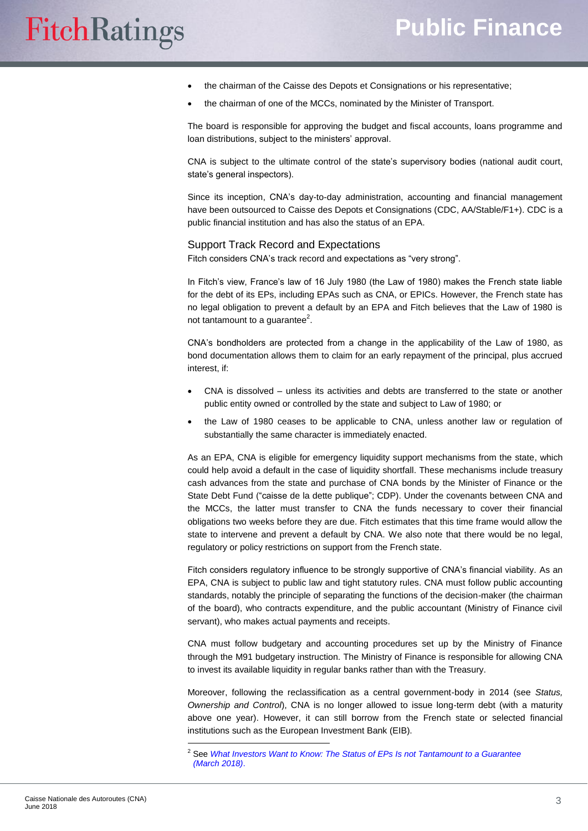- the chairman of the Caisse des Depots et Consignations or his representative;
- the chairman of one of the MCCs, nominated by the Minister of Transport.

The board is responsible for approving the budget and fiscal accounts, loans programme and loan distributions, subject to the ministers' approval.

CNA is subject to the ultimate control of the state's supervisory bodies (national audit court, state's general inspectors).

Since its inception, CNA's day-to-day administration, accounting and financial management have been outsourced to Caisse des Depots et Consignations (CDC, AA/Stable/F1+). CDC is a public financial institution and has also the status of an EPA.

#### Support Track Record and Expectations

Fitch considers CNA's track record and expectations as "very strong".

In Fitch's view, France's law of 16 July 1980 (the Law of 1980) makes the French state liable for the debt of its EPs, including EPAs such as CNA, or EPICs. However, the French state has no legal obligation to prevent a default by an EPA and Fitch believes that the Law of 1980 is not tantamount to a guarantee $^2$ .

CNA's bondholders are protected from a change in the applicability of the Law of 1980, as bond documentation allows them to claim for an early repayment of the principal, plus accrued interest, if:

- CNA is dissolved unless its activities and debts are transferred to the state or another public entity owned or controlled by the state and subject to Law of 1980; or
- the Law of 1980 ceases to be applicable to CNA, unless another law or regulation of substantially the same character is immediately enacted.

As an EPA, CNA is eligible for emergency liquidity support mechanisms from the state, which could help avoid a default in the case of liquidity shortfall. These mechanisms include treasury cash advances from the state and purchase of CNA bonds by the Minister of Finance or the State Debt Fund ("caisse de la dette publique"; CDP). Under the covenants between CNA and the MCCs, the latter must transfer to CNA the funds necessary to cover their financial obligations two weeks before they are due. Fitch estimates that this time frame would allow the state to intervene and prevent a default by CNA. We also note that there would be no legal, regulatory or policy restrictions on support from the French state.

Fitch considers regulatory influence to be strongly supportive of CNA's financial viability. As an EPA, CNA is subject to public law and tight statutory rules. CNA must follow public accounting standards, notably the principle of separating the functions of the decision-maker (the chairman of the board), who contracts expenditure, and the public accountant (Ministry of Finance civil servant), who makes actual payments and receipts.

CNA must follow budgetary and accounting procedures set up by the Ministry of Finance through the M91 budgetary instruction. The Ministry of Finance is responsible for allowing CNA to invest its available liquidity in regular banks rather than with the Treasury.

Moreover, following the reclassification as a central government-body in 2014 (see *Status, Ownership and Control*), CNA is no longer allowed to issue long-term debt (with a maturity above one year). However, it can still borrow from the French state or selected financial institutions such as the European Investment Bank (EIB).

 $\overline{a}$ 

<sup>2</sup> See *[What Investors Want to Know: The Status of EPs Is not Tantamount to a Guarantee](https://www.fitchratings.com/site/re/10018459)  [\(March](https://www.fitchratings.com/site/re/10018459) 2018)*.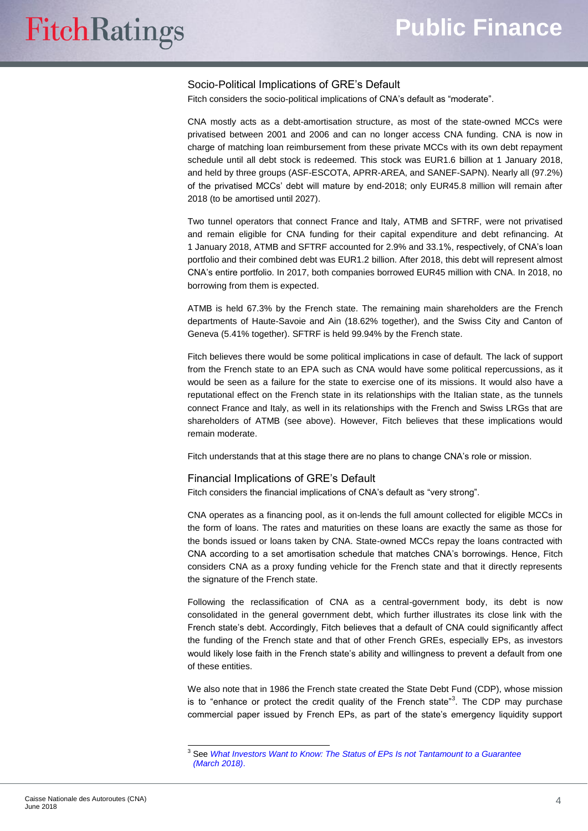#### Socio-Political Implications of GRE's Default

Fitch considers the socio-political implications of CNA's default as "moderate".

CNA mostly acts as a debt-amortisation structure, as most of the state-owned MCCs were privatised between 2001 and 2006 and can no longer access CNA funding. CNA is now in charge of matching loan reimbursement from these private MCCs with its own debt repayment schedule until all debt stock is redeemed. This stock was EUR1.6 billion at 1 January 2018, and held by three groups (ASF-ESCOTA, APRR-AREA, and SANEF-SAPN). Nearly all (97.2%) of the privatised MCCs' debt will mature by end-2018; only EUR45.8 million will remain after 2018 (to be amortised until 2027).

Two tunnel operators that connect France and Italy, ATMB and SFTRF, were not privatised and remain eligible for CNA funding for their capital expenditure and debt refinancing. At 1 January 2018, ATMB and SFTRF accounted for 2.9% and 33.1%, respectively, of CNA's loan portfolio and their combined debt was EUR1.2 billion. After 2018, this debt will represent almost CNA's entire portfolio. In 2017, both companies borrowed EUR45 million with CNA. In 2018, no borrowing from them is expected.

ATMB is held 67.3% by the French state. The remaining main shareholders are the French departments of Haute-Savoie and Ain (18.62% together), and the Swiss City and Canton of Geneva (5.41% together). SFTRF is held 99.94% by the French state.

Fitch believes there would be some political implications in case of default. The lack of support from the French state to an EPA such as CNA would have some political repercussions, as it would be seen as a failure for the state to exercise one of its missions. It would also have a reputational effect on the French state in its relationships with the Italian state, as the tunnels connect France and Italy, as well in its relationships with the French and Swiss LRGs that are shareholders of ATMB (see above). However, Fitch believes that these implications would remain moderate.

Fitch understands that at this stage there are no plans to change CNA's role or mission.

#### Financial Implications of GRE's Default

Fitch considers the financial implications of CNA's default as "very strong".

CNA operates as a financing pool, as it on-lends the full amount collected for eligible MCCs in the form of loans. The rates and maturities on these loans are exactly the same as those for the bonds issued or loans taken by CNA. State-owned MCCs repay the loans contracted with CNA according to a set amortisation schedule that matches CNA's borrowings. Hence, Fitch considers CNA as a proxy funding vehicle for the French state and that it directly represents the signature of the French state.

Following the reclassification of CNA as a central-government body, its debt is now consolidated in the general government debt, which further illustrates its close link with the French state's debt. Accordingly, Fitch believes that a default of CNA could significantly affect the funding of the French state and that of other French GREs, especially EPs, as investors would likely lose faith in the French state's ability and willingness to prevent a default from one of these entities.

We also note that in 1986 the French state created the State Debt Fund (CDP), whose mission is to "enhance or protect the credit quality of the French state"<sup>3</sup>. The CDP may purchase commercial paper issued by French EPs, as part of the state's emergency liquidity support

 $\overline{a}$ 

<sup>3</sup> See *[What Investors Want to Know: The Status of EPs Is not Tantamount to a Guarantee](https://www.fitchratings.com/site/re/10018459)  [\(March](https://www.fitchratings.com/site/re/10018459) 2018)*.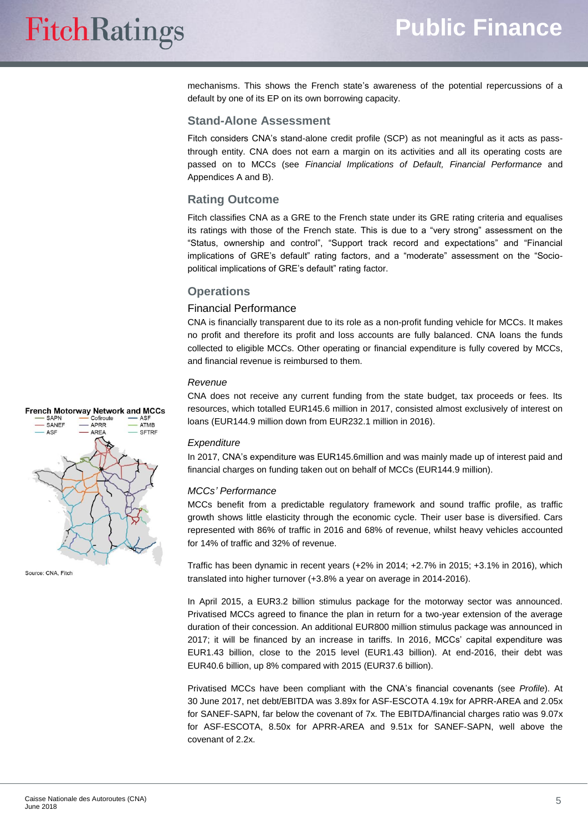mechanisms. This shows the French state's awareness of the potential repercussions of a default by one of its EP on its own borrowing capacity.

#### **Stand-Alone Assessment**

Fitch considers CNA's stand-alone credit profile (SCP) as not meaningful as it acts as passthrough entity. CNA does not earn a margin on its activities and all its operating costs are passed on to MCCs (see *Financial Implications of Default, Financial Performance* and Appendices A and B).

#### **Rating Outcome**

Fitch classifies CNA as a GRE to the French state under its GRE rating criteria and equalises its ratings with those of the French state. This is due to a "very strong" assessment on the "Status, ownership and control", "Support track record and expectations" and "Financial implications of GRE's default" rating factors, and a "moderate" assessment on the "Sociopolitical implications of GRE's default" rating factor.

#### **Operations**

#### Financial Performance

CNA is financially transparent due to its role as a non-profit funding vehicle for MCCs. It makes no profit and therefore its profit and loss accounts are fully balanced. CNA loans the funds collected to eligible MCCs. Other operating or financial expenditure is fully covered by MCCs, and financial revenue is reimbursed to them.

#### *Revenue*

CNA does not receive any current funding from the state budget, tax proceeds or fees. Its resources, which totalled EUR145.6 million in 2017, consisted almost exclusively of interest on loans (EUR144.9 million down from EUR232.1 million in 2016).

#### *Expenditure*

In 2017, CNA's expenditure was EUR145.6million and was mainly made up of interest paid and financial charges on funding taken out on behalf of MCCs (EUR144.9 million).

#### *MCCs' Performance*

MCCs benefit from a predictable regulatory framework and sound traffic profile, as traffic growth shows little elasticity through the economic cycle. Their user base is diversified. Cars represented with 86% of traffic in 2016 and 68% of revenue, whilst heavy vehicles accounted for 14% of traffic and 32% of revenue.

Traffic has been dynamic in recent years (+2% in 2014; +2.7% in 2015; +3.1% in 2016), which translated into higher turnover (+3.8% a year on average in 2014-2016).

In April 2015, a EUR3.2 billion stimulus package for the motorway sector was announced. Privatised MCCs agreed to finance the plan in return for a two-year extension of the average duration of their concession. An additional EUR800 million stimulus package was announced in 2017; it will be financed by an increase in tariffs. In 2016, MCCs' capital expenditure was EUR1.43 billion, close to the 2015 level (EUR1.43 billion). At end-2016, their debt was EUR40.6 billion, up 8% compared with 2015 (EUR37.6 billion).

Privatised MCCs have been compliant with the CNA's financial covenants (see *Profile*). At 30 June 2017, net debt/EBITDA was 3.89x for ASF-ESCOTA 4.19x for APRR-AREA and 2.05x for SANEF-SAPN, far below the covenant of 7x. The EBITDA/financial charges ratio was 9.07x for ASF-ESCOTA, 8.50x for APRR-AREA and 9.51x for SANEF-SAPN, well above the covenant of 2.2x.



Source: CNA, Fitch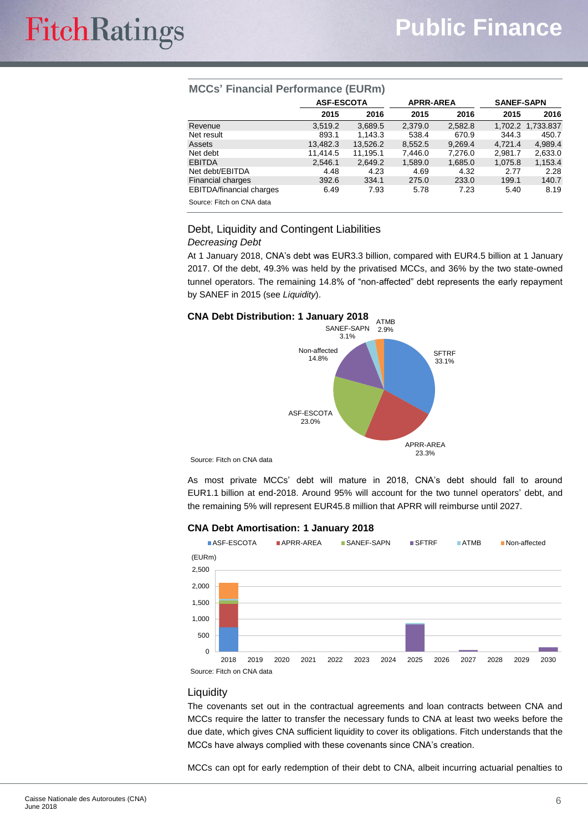| $M\cup U$ is a matrice of $U$ in the set of $U$ |                   |          |                  |         |                   |                   |
|-------------------------------------------------|-------------------|----------|------------------|---------|-------------------|-------------------|
|                                                 | <b>ASF-ESCOTA</b> |          | <b>APRR-AREA</b> |         | <b>SANEF-SAPN</b> |                   |
|                                                 | 2015              | 2016     | 2015             | 2016    | 2015              | 2016              |
| Revenue                                         | 3.519.2           | 3,689.5  | 2.379.0          | 2,582.8 |                   | 1.702.2 1.733.837 |
| Net result                                      | 893.1             | 1.143.3  | 538.4            | 670.9   | 344.3             | 450.7             |
| Assets                                          | 13.482.3          | 13,526.2 | 8,552.5          | 9.269.4 | 4.721.4           | 4,989.4           |
| Net debt                                        | 11.414.5          | 11.195.1 | 7,446.0          | 7.276.0 | 2.981.7           | 2,633.0           |
| <b>EBITDA</b>                                   | 2,546.1           | 2,649.2  | 1,589.0          | 1,685.0 | 1,075.8           | 1,153.4           |
| Net debt/EBITDA                                 | 4.48              | 4.23     | 4.69             | 4.32    | 2.77              | 2.28              |
| <b>Financial charges</b>                        | 392.6             | 334.1    | 275.0            | 233.0   | 199.1             | 140.7             |
| <b>EBITDA/financial charges</b>                 | 6.49              | 7.93     | 5.78             | 7.23    | 5.40              | 8.19              |
| Source: Fitch on CNA data                       |                   |          |                  |         |                   |                   |

### **MCCs' Financial Performance (EURm)**

### Debt, Liquidity and Contingent Liabilities

*Decreasing Debt*

At 1 January 2018, CNA's debt was EUR3.3 billion, compared with EUR4.5 billion at 1 January 2017. Of the debt, 49.3% was held by the privatised MCCs, and 36% by the two state-owned tunnel operators. The remaining 14.8% of "non-affected" debt represents the early repayment by SANEF in 2015 (see *Liquidity*).



Source: Fitch on CNA data

As most private MCCs' debt will mature in 2018, CNA's debt should fall to around EUR1.1 billion at end-2018. Around 95% will account for the two tunnel operators' debt, and the remaining 5% will represent EUR45.8 million that APRR will reimburse until 2027.

#### **CNA Debt Amortisation: 1 January 2018**



#### Liquidity

The covenants set out in the contractual agreements and loan contracts between CNA and MCCs require the latter to transfer the necessary funds to CNA at least two weeks before the due date, which gives CNA sufficient liquidity to cover its obligations. Fitch understands that the MCCs have always complied with these covenants since CNA's creation.

MCCs can opt for early redemption of their debt to CNA, albeit incurring actuarial penalties to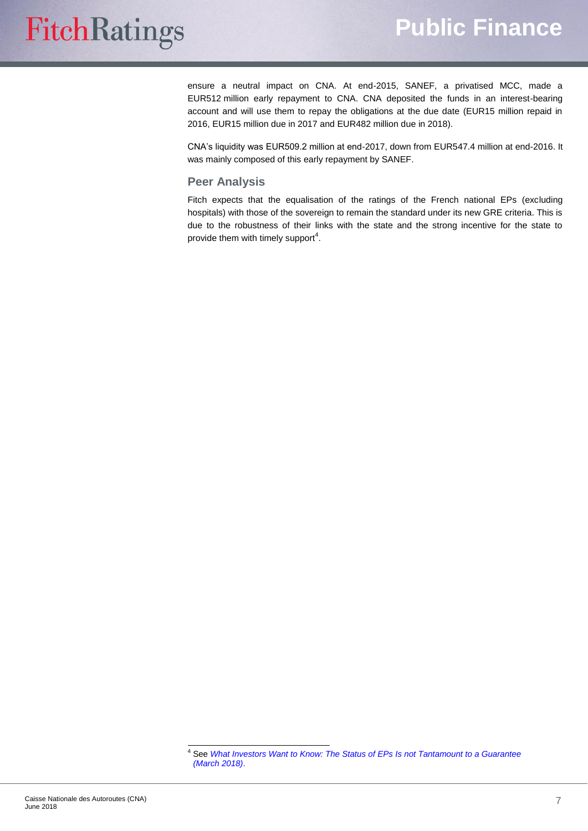# **FitchRatings**

ensure a neutral impact on CNA. At end-2015, SANEF, a privatised MCC, made a EUR512 million early repayment to CNA. CNA deposited the funds in an interest-bearing account and will use them to repay the obligations at the due date (EUR15 million repaid in 2016, EUR15 million due in 2017 and EUR482 million due in 2018).

CNA's liquidity was EUR509.2 million at end-2017, down from EUR547.4 million at end-2016. It was mainly composed of this early repayment by SANEF.

#### **Peer Analysis**

Fitch expects that the equalisation of the ratings of the French national EPs (excluding hospitals) with those of the sovereign to remain the standard under its new GRE criteria. This is due to the robustness of their links with the state and the strong incentive for the state to provide them with timely support<sup>4</sup>.

 $\overline{a}$ 

<sup>4</sup> See *[What Investors Want to Know: The Status of EPs Is not Tantamount to a Guarantee](https://www.fitchratings.com/site/re/10018459)  [\(March](https://www.fitchratings.com/site/re/10018459) 2018)*.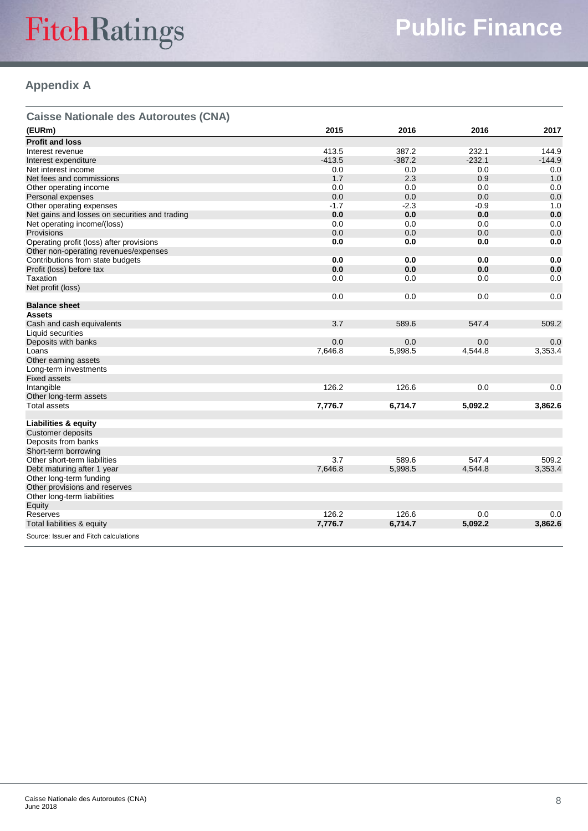# FitchRatings

# **Appendix A**

| <b>Caisse Nationale des Autoroutes (CNA)</b>   |          |          |          |          |
|------------------------------------------------|----------|----------|----------|----------|
| (EURm)                                         | 2015     | 2016     | 2016     | 2017     |
| <b>Profit and loss</b>                         |          |          |          |          |
| Interest revenue                               | 413.5    | 387.2    | 232.1    | 144.9    |
| Interest expenditure                           | $-413.5$ | $-387.2$ | $-232.1$ | $-144.9$ |
| Net interest income                            | 0.0      | 0.0      | 0.0      | 0.0      |
| Net fees and commissions                       | 1.7      | 2.3      | 0.9      | 1.0      |
| Other operating income                         | 0.0      | 0.0      | 0.0      | 0.0      |
| Personal expenses                              | 0.0      | 0.0      | 0.0      | 0.0      |
| Other operating expenses                       | $-1.7$   | $-2.3$   | $-0.9$   | 1.0      |
| Net gains and losses on securities and trading | 0.0      | 0.0      | 0.0      | 0.0      |
| Net operating income/(loss)                    | 0.0      | 0.0      | 0.0      | 0.0      |
| <b>Provisions</b>                              | 0.0      | 0.0      | 0.0      | 0.0      |
| Operating profit (loss) after provisions       | 0.0      | 0.0      | 0.0      | 0.0      |
| Other non-operating revenues/expenses          |          |          |          |          |
| Contributions from state budgets               | 0.0      | 0.0      | 0.0      | 0.0      |
| Profit (loss) before tax                       | 0.0      | 0.0      | 0.0      | 0.0      |
| Taxation                                       | 0.0      | 0.0      | 0.0      | 0.0      |
| Net profit (loss)                              |          |          |          |          |
|                                                | 0.0      | 0.0      | 0.0      | 0.0      |
|                                                |          |          |          |          |
| <b>Balance sheet</b>                           |          |          |          |          |
| <b>Assets</b>                                  |          |          |          |          |
| Cash and cash equivalents                      | 3.7      | 589.6    | 547.4    | 509.2    |
| Liquid securities                              |          |          |          |          |
| Deposits with banks                            | 0.0      | 0.0      | 0.0      | 0.0      |
| Loans                                          | 7,646.8  | 5,998.5  | 4,544.8  | 3,353.4  |
| Other earning assets                           |          |          |          |          |
| Long-term investments                          |          |          |          |          |
| <b>Fixed assets</b>                            |          |          |          |          |
| Intangible                                     | 126.2    | 126.6    | 0.0      | 0.0      |
| Other long-term assets                         |          |          |          |          |
| <b>Total assets</b>                            | 7,776.7  | 6,714.7  | 5,092.2  | 3,862.6  |
|                                                |          |          |          |          |
| <b>Liabilities &amp; equity</b>                |          |          |          |          |
| <b>Customer deposits</b>                       |          |          |          |          |
| Deposits from banks                            |          |          |          |          |
| Short-term borrowing                           |          |          |          |          |
| Other short-term liabilities                   | 3.7      | 589.6    | 547.4    | 509.2    |
| Debt maturing after 1 year                     | 7,646.8  | 5,998.5  | 4,544.8  | 3,353.4  |
| Other long-term funding                        |          |          |          |          |
| Other provisions and reserves                  |          |          |          |          |
| Other long-term liabilities                    |          |          |          |          |
| Equity                                         |          |          |          |          |
| Reserves                                       | 126.2    | 126.6    | 0.0      | 0.0      |
| Total liabilities & equity                     | 7,776.7  | 6,714.7  | 5,092.2  | 3,862.6  |
|                                                |          |          |          |          |
| Source: Issuer and Fitch calculations          |          |          |          |          |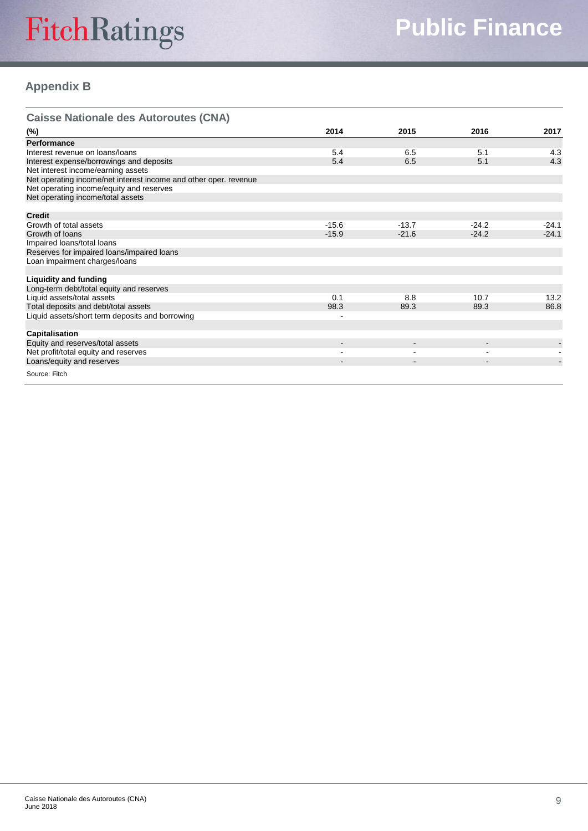# FitchRatings

## **Appendix B**

| <b>Caisse Nationale des Autoroutes (CNA)</b>                     |         |         |         |         |
|------------------------------------------------------------------|---------|---------|---------|---------|
| (%)                                                              | 2014    | 2015    | 2016    | 2017    |
| Performance                                                      |         |         |         |         |
| Interest revenue on loans/loans                                  | 5.4     | 6.5     | 5.1     | 4.3     |
| Interest expense/borrowings and deposits                         | 5.4     | 6.5     | 5.1     | 4.3     |
| Net interest income/earning assets                               |         |         |         |         |
| Net operating income/net interest income and other oper. revenue |         |         |         |         |
| Net operating income/equity and reserves                         |         |         |         |         |
| Net operating income/total assets                                |         |         |         |         |
| <b>Credit</b>                                                    |         |         |         |         |
| Growth of total assets                                           | $-15.6$ | $-13.7$ | $-24.2$ | $-24.1$ |
| Growth of loans                                                  | $-15.9$ | $-21.6$ | $-24.2$ | $-24.1$ |
| Impaired loans/total loans                                       |         |         |         |         |
| Reserves for impaired loans/impaired loans                       |         |         |         |         |
| Loan impairment charges/loans                                    |         |         |         |         |
| <b>Liquidity and funding</b>                                     |         |         |         |         |
| Long-term debt/total equity and reserves                         |         |         |         |         |
| Liquid assets/total assets                                       | 0.1     | 8.8     | 10.7    | 13.2    |
| Total deposits and debt/total assets                             | 98.3    | 89.3    | 89.3    | 86.8    |
| Liquid assets/short term deposits and borrowing                  |         |         |         |         |
|                                                                  |         |         |         |         |
| Capitalisation                                                   |         |         |         |         |
| Equity and reserves/total assets                                 |         |         |         |         |
| Net profit/total equity and reserves                             |         |         |         |         |
| Loans/equity and reserves                                        |         |         |         |         |
| Source: Fitch                                                    |         |         |         |         |